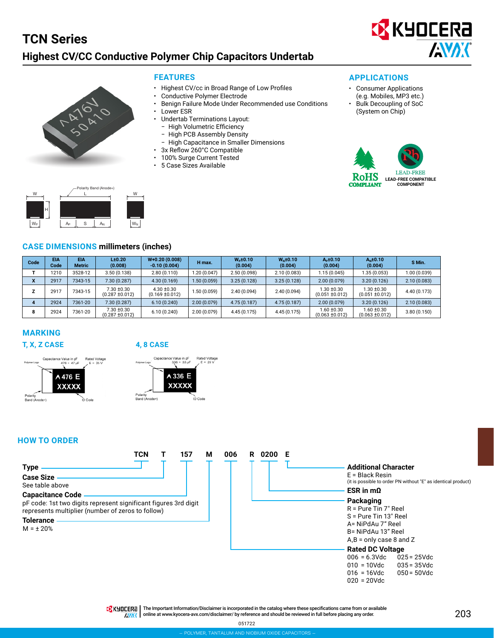



- **FEATURES**
- Highest CV/cc in Broad Range of Low Profiles
- Conductive Polymer Electrode
- Benign Failure Mode Under Recommended use Conditions
- **Lower ESR**
- Undertab Terminations Layout:
	- High Volumetric Efficiency
	- High PCB Assembly Density
	- ‒ High Capacitance in Smaller Dimensions
- 3x Reflow 260°C Compatible
- 100% Surge Current Tested
- 5 Case Sizes Available



- Consumer Applications (e.g. Mobiles, MP3 etc.)
- Bulk Decoupling of SoC (System on Chip)





#### **CASE DIMENSIONS millimeters (inches)**

| Code                     | <b>EIA</b><br>Code | EIA<br><b>Metric</b> | L <sub>±</sub> 0.20<br>(0.008)    | $W+0.20(0.008)$<br>$-0.10(0.004)$      | H max.       | $Wo$ ±0.10<br>(0.004) | $Wu$ ±0.10<br>(0.004) | $Ap \pm 0.10$<br>(0.004)          | $AN$ ±0.10<br>(0.004)                  | S Min.       |
|--------------------------|--------------------|----------------------|-----------------------------------|----------------------------------------|--------------|-----------------------|-----------------------|-----------------------------------|----------------------------------------|--------------|
|                          | 1210               | 3528-12              | 3.50(0.138)                       | 2.80(0.110)                            | 1.20 (0.047) | 2.50(0.098)           | 2.10(0.083)           | 1.15(0.045)                       | 1.35(0.053)                            | 1.00 (0.039) |
| $\overline{\phantom{a}}$ | 2917               | 7343-15              | 7.30(0.287)                       | 4.30(0.169)                            | 1.50(0.059)  | 3.25(0.128)           | 3.25(0.128)           | 2.00(0.079)                       | 3.20(0.126)                            | 2.10(0.083)  |
|                          | 2917               | 7343-15              | 7.30 ±0.30<br>$(0.287 \pm 0.012)$ | $4.30 \pm 0.30$<br>$(0.169 \pm 0.012)$ | 1.50 (0.059) | 2.40(0.094)           | 2.40(0.094)           | 1.30 ±0.30<br>$(0.051 \pm 0.012)$ | 1.30 ±0.30<br>$(0.051 \pm 0.012)$      | 4.40 (0.173) |
|                          | 2924               | 7361-20              | 7.30(0.287)                       | 6.10(0.240)                            | 2.00(0.079)  | 4.75(0.187)           | 4.75(0.187)           | 2.00(0.079)                       | 3.20(0.126)                            | 2.10(0.083)  |
|                          | 2924               | 7361-20              | 7.30 ±0.30<br>(0.287 ±0.012)      | 6.10(0.240)                            | 2.00 (0.079) | 4.45(0.175)           | 4.45(0.175)           | 1.60 ±0.30<br>$(0.063 \pm 0.012)$ | $1.60 \pm 0.30$<br>$(0.063 \pm 0.012)$ | 3.80(0.150)  |

### **MARKING**



#### **T, X, Z CASE 4, 8 CASE**



#### **HOW TO ORDER**



TRK HILLERA | The Important Information/Disclaimer is incorporated in the catalog where these specifications came from or available AVAX online at [www.kyocera-avx.com/disclaimer/](http://www.avx.com/disclaimer/) by reference and should be reviewed in full before placing any order.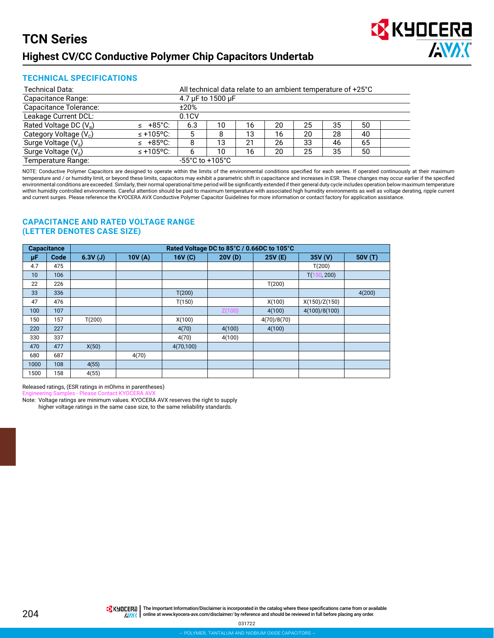

#### **TECHNICAL SPECIFICATIONS**

| Technical Data:          |                | All technical data relate to an ambient temperature of +25°C |                   |    |    |    |    |    |  |  |  |
|--------------------------|----------------|--------------------------------------------------------------|-------------------|----|----|----|----|----|--|--|--|
| Capacitance Range:       |                |                                                              | 4.7 µF to 1500 µF |    |    |    |    |    |  |  |  |
| Capacitance Tolerance:   |                | ±20%                                                         |                   |    |    |    |    |    |  |  |  |
| Leakage Current DCL:     |                | 0.1CV                                                        |                   |    |    |    |    |    |  |  |  |
| Rated Voltage DC $(V_R)$ | $\leq$ +85°C:  | 6.3                                                          | 10                | 16 | 20 | 25 | 35 | 50 |  |  |  |
| Category Voltage $(V_c)$ | $\leq$ +105°C: | 5                                                            |                   | 13 | 16 | 20 | 28 | 40 |  |  |  |
| Surge Voltage $(V_s)$    | $\leq$ +85°C:  | 8                                                            | 13                | 21 | 26 | 33 | 46 | 65 |  |  |  |
| Surge Voltage $(V_s)$    | $\leq$ +105°C: | 6                                                            | 10                | 16 | 20 | 25 | 35 | 50 |  |  |  |
| Temperature Range:       |                | $-55^{\circ}$ C to $+105^{\circ}$ C                          |                   |    |    |    |    |    |  |  |  |

NOTE: Conductive Polymer Capacitors are designed to operate within the limits of the environmental conditions specified for each series. If operated continuously at their maximum temperature and / or humidity limit, or beyond these limits, capacitors may exhibit a parametric shift in capacitance and increases in ESR. These changes may occur earlier if the specified environmental conditions are exceeded. Similarly, their normal operational time period will be significantly extended if their general duty cycle includes operation below maximum temperature within humidity controlled environments. Careful attention should be paid to maximum temperature with associated high humidity environments as well as voltage derating, ripple current and current surges. Please reference the KYOCERA AVX Conductive Polymer Capacitor Guidelines for more information or contact factory for application assistance.

#### **CAPACITANCE AND RATED VOLTAGE RANGE (LETTER DENOTES CASE SIZE)**

| <b>Capacitance</b> |      | Rated Voltage DC to 85°C / 0.66DC to 105°C |        |           |        |             |                  |         |  |  |  |  |  |
|--------------------|------|--------------------------------------------|--------|-----------|--------|-------------|------------------|---------|--|--|--|--|--|
| μF                 | Code | 6.3V(J)                                    | 10V(A) | 16V(C)    | 20V(D) | 25V (E)     | 35V (V)          | 50V (T) |  |  |  |  |  |
| 4.7                | 475  |                                            |        |           |        |             | T(200)           |         |  |  |  |  |  |
| 10                 | 106  |                                            |        |           |        |             | T(1)<br>50, 200) |         |  |  |  |  |  |
| 22                 | 226  |                                            |        |           |        | T(200)      |                  |         |  |  |  |  |  |
| 33                 | 336  |                                            |        | T(200)    |        |             |                  | 4(200)  |  |  |  |  |  |
| 47                 | 476  |                                            |        | T(150)    |        | X(100)      | X(150)/Z(150)    |         |  |  |  |  |  |
| 100                | 107  |                                            |        |           | Z(100) | 4(100)      | 4(100)/8(100)    |         |  |  |  |  |  |
| 150                | 157  | T(200)                                     |        | X(100)    |        | 4(70)/8(70) |                  |         |  |  |  |  |  |
| 220                | 227  |                                            |        | 4(70)     | 4(100) | 4(100)      |                  |         |  |  |  |  |  |
| 330                | 337  |                                            |        | 4(70)     | 4(100) |             |                  |         |  |  |  |  |  |
| 470                | 477  | X(50)                                      |        | 4(70,100) |        |             |                  |         |  |  |  |  |  |
| 680                | 687  |                                            | 4(70)  |           |        |             |                  |         |  |  |  |  |  |
| 1000               | 108  | 4(55)                                      |        |           |        |             |                  |         |  |  |  |  |  |
| 1500               | 158  | 4(55)                                      |        |           |        |             |                  |         |  |  |  |  |  |

Released ratings, (ESR ratings in mOhms in parentheses)

Engineering Samples - Please Contact KY

Note: Voltage ratings are minimum values. KYOCERA AVX reserves the right to supply higher voltage ratings in the same case size, to the same reliability standards.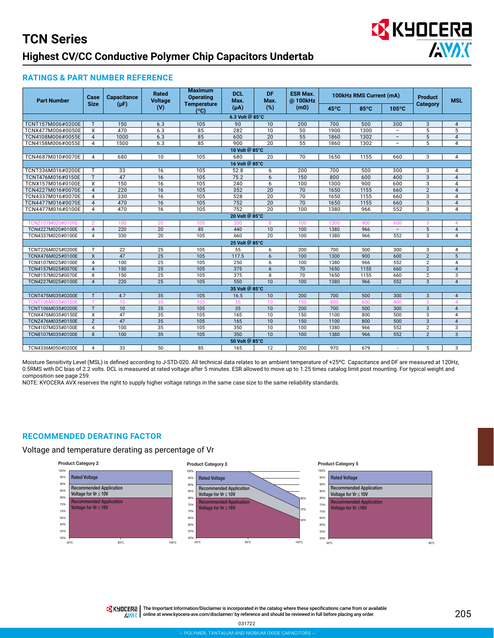

#### **RATINGS & PART NUMBER REFERENCE**

| <b>Part Number</b> | Case<br><b>Size</b> | <b>Capacitance</b><br>$(\mu F)$ | Rated<br><b>Voltage</b> | <b>Maximum</b><br><b>Operating</b><br><b>Temperature</b> | <b>DCL</b><br>Max. | DF.<br>Max.     | <b>ESR Max.</b><br>@100kHz |                | 100kHz RMS Current (mA) |                          | <b>Product</b>                                                                                                                                                                                                                                                                                                                            | <b>MSL</b>             |  |  |  |  |  |  |  |
|--------------------|---------------------|---------------------------------|-------------------------|----------------------------------------------------------|--------------------|-----------------|----------------------------|----------------|-------------------------|--------------------------|-------------------------------------------------------------------------------------------------------------------------------------------------------------------------------------------------------------------------------------------------------------------------------------------------------------------------------------------|------------------------|--|--|--|--|--|--|--|
|                    |                     |                                 | (V)                     | (°C)                                                     | $(\mu A)$          | (%)             | $(m\Omega)$                | $45^{\circ}$ C | 85°C                    | 105°C                    | <b>Category</b><br>3<br>5<br>$\overline{5}$<br>5<br>3<br>3<br>$\overline{3}$<br>3<br>$\overline{2}$<br>3<br>3<br>$\overline{3}$<br>3<br>5<br>$\overline{3}$<br>3<br>$\overline{2}$<br>$\overline{2}$<br>$\overline{2}$<br>$\overline{2}$<br>$\overline{3}$<br>3<br>$\overline{3}$<br>3<br>3<br>3<br>$\overline{2}$<br>$\overline{2}$<br>5 |                        |  |  |  |  |  |  |  |
|                    |                     |                                 |                         |                                                          | 6.3 Volt @ 85°C    |                 |                            |                |                         |                          |                                                                                                                                                                                                                                                                                                                                           |                        |  |  |  |  |  |  |  |
| TCNT157M006#0200E  | T                   | 150                             | 6.3                     | 105                                                      | 90                 | 10              | 200                        | 700            | 500                     | 300                      |                                                                                                                                                                                                                                                                                                                                           | $\overline{4}$         |  |  |  |  |  |  |  |
| TCNX477M006#0050E  | X                   | 470                             | 6.3                     | 85                                                       | 282                | 10              | 50                         | 1900           | 1300                    | $\overline{\phantom{a}}$ |                                                                                                                                                                                                                                                                                                                                           | 5                      |  |  |  |  |  |  |  |
| TCN4108M006#0055E  | $\overline{4}$      | 1000                            | 6.3                     | 85                                                       | 600                | $\overline{20}$ | $\overline{55}$            | 1860           | 1302                    | $\overline{\phantom{0}}$ |                                                                                                                                                                                                                                                                                                                                           | $\overline{4}$         |  |  |  |  |  |  |  |
| TCN4158M006#0055E  | $\overline{4}$      | 1500                            | 6.3                     | $\overline{85}$                                          | 900                | $\overline{20}$ | $\overline{55}$            | 1860           | 1302                    | -                        |                                                                                                                                                                                                                                                                                                                                           | 4                      |  |  |  |  |  |  |  |
|                    |                     |                                 |                         |                                                          | 10 Volt @ 85°C     |                 |                            |                |                         |                          |                                                                                                                                                                                                                                                                                                                                           |                        |  |  |  |  |  |  |  |
| TCN4687M010#0070E  | 4                   | 680                             | 10                      | 105                                                      | 680                | 20              | 70                         | 1650           | 1155                    | 660                      |                                                                                                                                                                                                                                                                                                                                           | 4                      |  |  |  |  |  |  |  |
|                    |                     |                                 |                         |                                                          | 16 Volt @ 85°C     |                 |                            |                |                         |                          |                                                                                                                                                                                                                                                                                                                                           |                        |  |  |  |  |  |  |  |
| TCNT336M016#0200E  | T                   | 33                              | 16                      | 105                                                      | 52.8               | 6               | 200                        | 700            | 500                     | 300                      |                                                                                                                                                                                                                                                                                                                                           | 4                      |  |  |  |  |  |  |  |
| TCNT476M016#0150E  | T.                  | 47                              | $\overline{16}$         | 105                                                      | 75.2               | 6               | 150                        | 800            | 600                     | 400                      |                                                                                                                                                                                                                                                                                                                                           | $\overline{4}$         |  |  |  |  |  |  |  |
| TCNX157M016#0100E  | X                   | 150                             | 16                      | 105                                                      | 240                | 6               | 100                        | 1300           | 900                     | 600                      |                                                                                                                                                                                                                                                                                                                                           | 4                      |  |  |  |  |  |  |  |
| TCN4227M016#0070E  | $\overline{4}$      | 220                             | $\overline{16}$         | 105                                                      | 352                | 20              | 70                         | 1650           | 1155                    | 660                      |                                                                                                                                                                                                                                                                                                                                           | $\overline{4}$         |  |  |  |  |  |  |  |
| TCN4337M016#0070E  | $\overline{4}$      | 330                             | $\overline{16}$         | 105                                                      | 528                | $\overline{20}$ | $\overline{70}$            | 1650           | 1155                    | 660                      |                                                                                                                                                                                                                                                                                                                                           | 4                      |  |  |  |  |  |  |  |
| TCN4477M016#0070E  | $\overline{A}$      | 470                             | 16                      | 105                                                      | 752                | 20              | 70                         | 1650           | 1155                    | 660                      |                                                                                                                                                                                                                                                                                                                                           | $\overline{4}$         |  |  |  |  |  |  |  |
| TCN4477M016#0100E  | 4                   | 470                             | 16                      | 105                                                      | 752                | $\overline{20}$ | 100                        | 1380           | 966                     | 552                      |                                                                                                                                                                                                                                                                                                                                           | 4                      |  |  |  |  |  |  |  |
|                    |                     |                                 |                         |                                                          | 20 Volt @ 85°C     |                 |                            |                |                         |                          |                                                                                                                                                                                                                                                                                                                                           |                        |  |  |  |  |  |  |  |
| TCNZ107M020#0100E  |                     | 100                             | 20                      | 105                                                      | 200                | 8               | 100                        | 1300           | 900                     | 600                      |                                                                                                                                                                                                                                                                                                                                           | $\overline{4}$         |  |  |  |  |  |  |  |
| TCN4227M020#0100E  | $\overline{4}$      | 220                             | 20                      | 85                                                       | 440                | 10              | 100                        | 1380           | 966                     | $\qquad \qquad -$        |                                                                                                                                                                                                                                                                                                                                           | $\overline{4}$         |  |  |  |  |  |  |  |
| TCN4337M020#0100E  | $\overline{4}$      | 330                             | 20                      | 105                                                      | 660                | 20              | 100                        | 1380           | 966                     | 552                      |                                                                                                                                                                                                                                                                                                                                           | $\overline{4}$         |  |  |  |  |  |  |  |
|                    |                     |                                 |                         |                                                          | 25 Volt @ 85°C     |                 |                            |                |                         |                          |                                                                                                                                                                                                                                                                                                                                           |                        |  |  |  |  |  |  |  |
| TCNT226M025#0200E  | T.                  | 22                              | 25                      | 105                                                      | 55                 | 6               | 200                        | 700            | 500                     | 300                      |                                                                                                                                                                                                                                                                                                                                           | 4                      |  |  |  |  |  |  |  |
| TCNX476M025#0100E  | $\mathsf{x}$        | 47                              | 25                      | $\frac{105}{2}$                                          | 117.5              | 6               | 100                        | 1300           | 900                     | 600                      |                                                                                                                                                                                                                                                                                                                                           | 5                      |  |  |  |  |  |  |  |
| TCN4107M025#0100E  | $\overline{4}$      | 100                             | 25                      | 105                                                      | 250                | 6               | 100                        | 1380           | 966                     | 552                      |                                                                                                                                                                                                                                                                                                                                           | 4                      |  |  |  |  |  |  |  |
| TCN4157M025#0070E  | $\overline{4}$      | 150                             | $\overline{25}$         | 105                                                      | 375                | 6               | 70                         | 1650           | 1155                    | 660                      |                                                                                                                                                                                                                                                                                                                                           | $\overline{4}$         |  |  |  |  |  |  |  |
| TCN8157M025#0070E  | 8                   | 150                             | 25                      | 105                                                      | 375                | 8               | 70                         | 1650           | 1155                    | 660                      |                                                                                                                                                                                                                                                                                                                                           | 3                      |  |  |  |  |  |  |  |
| TCN4227M025#0100E  | $\overline{A}$      | 220                             | 25                      | 105                                                      | 550                | 10              | 100                        | 1380           | 966                     | 552                      |                                                                                                                                                                                                                                                                                                                                           | $\overline{4}$         |  |  |  |  |  |  |  |
|                    |                     |                                 |                         |                                                          | 35 Volt @ 85°C     |                 |                            |                |                         |                          |                                                                                                                                                                                                                                                                                                                                           |                        |  |  |  |  |  |  |  |
| TCNT475M035#0200E  | T                   | 4.7                             | $\overline{35}$         | 105                                                      | 16.5               | 10              | $\overline{200}$           | 700            | 500                     | 300                      |                                                                                                                                                                                                                                                                                                                                           | $\overline{4}$         |  |  |  |  |  |  |  |
|                    |                     | 10                              | 35                      | 105                                                      | 35                 | 10              | 150                        | 800            | 600                     | 400                      |                                                                                                                                                                                                                                                                                                                                           | $\boldsymbol{\Lambda}$ |  |  |  |  |  |  |  |
| TCNT106M035#0200E  | T.                  | 10                              | 35                      | 105                                                      | 35                 | 10              | 200                        | 700            | 500                     | 300                      |                                                                                                                                                                                                                                                                                                                                           | $\overline{4}$         |  |  |  |  |  |  |  |
| TCNX476M035#0150E  | X                   | 47                              | 35                      | 105                                                      | 165                | 10              | 150                        | 1100           | 800                     | 500                      |                                                                                                                                                                                                                                                                                                                                           | 4                      |  |  |  |  |  |  |  |
| TCNZ476M035#0150E  | Z                   | 47                              | 35                      | 105                                                      | 165                | 10              | 150                        | 1100           | 800                     | 500                      |                                                                                                                                                                                                                                                                                                                                           | $\overline{4}$         |  |  |  |  |  |  |  |
| TCN4107M035#0100E  | $\overline{4}$      | 100                             | $\overline{35}$         | 105                                                      | 350                | 10              | 100                        | 1380           | 966                     | 552                      |                                                                                                                                                                                                                                                                                                                                           | 3                      |  |  |  |  |  |  |  |
| TCN8107M035#0100E  | 8                   | 100                             | $\overline{35}$         | 105                                                      | 350                | $\overline{10}$ | 100                        | 1380           | 966                     | 552                      |                                                                                                                                                                                                                                                                                                                                           | $\overline{3}$         |  |  |  |  |  |  |  |
|                    |                     |                                 |                         |                                                          | 50 Volt @ 85°C     |                 |                            |                |                         |                          |                                                                                                                                                                                                                                                                                                                                           |                        |  |  |  |  |  |  |  |
| TCN4336M050#0200E  | 4                   | 33                              | 50                      | 85                                                       | 165                | 12              | 200                        | 970            | 679                     | ×.                       |                                                                                                                                                                                                                                                                                                                                           | 3                      |  |  |  |  |  |  |  |

Moisture Sensitivity Level (MSL) is defined according to J-STD-020. All technical data relates to an ambient temperature of +25ºC. Capacitance and DF are measured at 120Hz, 0.5RMS with DC bias of 2.2 volts. DCL is measured at rated voltage after 5 minutes. ESR allowed to move up to 1.25 times catalog limit post mounting. For typical weight and composition see page 259.

NOTE: KYOCERA AVX reserves the right to supply higher voltage ratings in the same case size to the same reliability standards.

#### **RECOMMENDED DERATING FACTOR**

Voltage and temperature derating as percentage of Vr



THE Important Information/Disclaimer is incorporated in the catalog where these specifications came from or available **AVAX** online at [www.kyocera-avx.com/disclaimer/](http://www.avx.com/disclaimer/) by reference and should be reviewed in full before placing any order.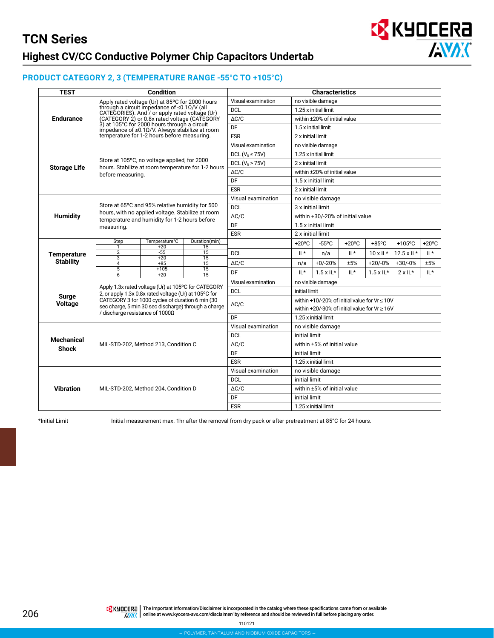

#### **PRODUCT CATEGORY 2, 3 (TEMPERATURE RANGE -55°C TO +105°C)**

| <b>TEST</b>                                                                                                                                                                                                                                                                                                                                                                                                                                                                                                                                                                                                                                                                                                                                                                                                                                                                                                                                                                                                                       |                                                                                                                                                                                                                                                                                                                                                                                   | <b>Condition</b>                                                                                                                                                                                                                                                                                                                                                                                                                                                                                   |                                                                                                                                                                                                                                                                                                                                                                                                                                                                                                                                                                                                                             |                      |                                                                                                                                             | <b>Characteristics</b><br>$-55^{\circ}$ C<br>$+85^{\circ}$ C<br>$+20^{\circ}$ C<br>$+105$ °C<br>IL*<br>IL*<br>$10 \times 1$ L*<br>$12.5 \times \mathrm{IL}^*$<br>IL*<br>n/a<br>$+0/-20%$<br>±5%<br>$+30/-0%$<br>+20/-0%<br>±5%<br>n/a<br>IL*<br>IL*<br>$IL*$<br>$1.5 \times 1$ L*<br>$1.5 \times 1$ L*<br>$2 \times 11^*$ |  |  |  |  |  |  |
|-----------------------------------------------------------------------------------------------------------------------------------------------------------------------------------------------------------------------------------------------------------------------------------------------------------------------------------------------------------------------------------------------------------------------------------------------------------------------------------------------------------------------------------------------------------------------------------------------------------------------------------------------------------------------------------------------------------------------------------------------------------------------------------------------------------------------------------------------------------------------------------------------------------------------------------------------------------------------------------------------------------------------------------|-----------------------------------------------------------------------------------------------------------------------------------------------------------------------------------------------------------------------------------------------------------------------------------------------------------------------------------------------------------------------------------|----------------------------------------------------------------------------------------------------------------------------------------------------------------------------------------------------------------------------------------------------------------------------------------------------------------------------------------------------------------------------------------------------------------------------------------------------------------------------------------------------|-----------------------------------------------------------------------------------------------------------------------------------------------------------------------------------------------------------------------------------------------------------------------------------------------------------------------------------------------------------------------------------------------------------------------------------------------------------------------------------------------------------------------------------------------------------------------------------------------------------------------------|----------------------|---------------------------------------------------------------------------------------------------------------------------------------------|---------------------------------------------------------------------------------------------------------------------------------------------------------------------------------------------------------------------------------------------------------------------------------------------------------------------------|--|--|--|--|--|--|
|                                                                                                                                                                                                                                                                                                                                                                                                                                                                                                                                                                                                                                                                                                                                                                                                                                                                                                                                                                                                                                   |                                                                                                                                                                                                                                                                                                                                                                                   |                                                                                                                                                                                                                                                                                                                                                                                                                                                                                                    |                                                                                                                                                                                                                                                                                                                                                                                                                                                                                                                                                                                                                             | Visual examination   |                                                                                                                                             |                                                                                                                                                                                                                                                                                                                           |  |  |  |  |  |  |
| Apply rated voltage (Ur) at 85°C for 2000 hours<br>through a circuit impedance of $\leq 0.1 \Omega/V$ (all<br>CATEGORIES). And / or apply rated voltage (Ur)<br>(CATEGORY 2) or 0.8x rated voltage (CATEGORY<br><b>Endurance</b><br>3) at 105°C for 2000 hours through a circuit<br>impedance of $\leq$ 0.10/V. Always stabilize at room<br>temperature for 1-2 hours before measuring.<br>Store at 105°C, no voltage applied, for 2000<br><b>Storage Life</b><br>hours. Stabilize at room temperature for 1-2 hours<br>before measuring.<br><b>Humidity</b><br>measuring.<br>Temperature°C<br>Step<br>$+20$<br>15<br>1<br>$\overline{2}$<br>$-55$<br>15<br><b>Temperature</b><br>3<br>$+20$<br>15<br><b>Stability</b><br>$\overline{15}$<br>$\overline{4}$<br>$+85$<br>5<br>$+105$<br>15<br>$\overline{6}$<br>$+20$<br>15<br>Surge<br><b>Voltage</b><br>/ discharge resistance of 1000Ω<br><b>Mechanical</b><br>MIL-STD-202, Method 213, Condition C<br><b>Shock</b><br><b>Vibration</b><br>MIL-STD-202, Method 204, Condition D |                                                                                                                                                                                                                                                                                                                                                                                   | <b>DCL</b>                                                                                                                                                                                                                                                                                                                                                                                                                                                                                         |                                                                                                                                                                                                                                                                                                                                                                                                                                                                                                                                                                                                                             | 1.25 x initial limit |                                                                                                                                             |                                                                                                                                                                                                                                                                                                                           |  |  |  |  |  |  |
|                                                                                                                                                                                                                                                                                                                                                                                                                                                                                                                                                                                                                                                                                                                                                                                                                                                                                                                                                                                                                                   |                                                                                                                                                                                                                                                                                                                                                                                   | $\Delta C/C$<br>DF<br><b>ESR</b><br>Visual examination<br>DCL ( $VB \le 75V$ )<br>DCL ( $V_R$ > 75V)<br>$\Delta C/C$<br>DF<br><b>ESR</b><br>Visual examination<br><b>DCL</b><br>$\Delta C/C$<br>DF<br><b>ESR</b><br>Duration(min)<br>$+20^{\circ}$ C<br><b>DCL</b><br>$\Delta C/C$<br>DF<br>Visual examination<br><b>DCL</b><br>$\Delta C/C$<br>DF<br>Visual examination<br><b>DCL</b><br>$\Delta C/C$<br>DF<br><b>ESR</b><br>Visual examination<br><b>DCL</b><br>$\Delta C/C$<br>DF<br><b>ESR</b> |                                                                                                                                                                                                                                                                                                                                                                                                                                                                                                                                                                                                                             |                      |                                                                                                                                             |                                                                                                                                                                                                                                                                                                                           |  |  |  |  |  |  |
|                                                                                                                                                                                                                                                                                                                                                                                                                                                                                                                                                                                                                                                                                                                                                                                                                                                                                                                                                                                                                                   |                                                                                                                                                                                                                                                                                                                                                                                   |                                                                                                                                                                                                                                                                                                                                                                                                                                                                                                    | no visible damage<br>within ±20% of initial value<br>1.5 x initial limit<br>2 x initial limit<br>no visible damage<br>1.25 x initial limit<br>2 x initial limit<br>within ±20% of initial value<br>1.5 x initial limit<br>2 x initial limit<br>no visible damage<br>3 x initial limit<br>1.5 x initial limit<br>2 x initial limit<br>no visible damage<br>initial limit<br>1.25 x initial limit<br>no visible damage<br>initial limit<br>within ±5% of initial value<br>initial limit<br>1.25 x initial limit<br>no visible damage<br>initial limit<br>within ±5% of initial value<br>initial limit<br>1.25 x initial limit |                      |                                                                                                                                             |                                                                                                                                                                                                                                                                                                                           |  |  |  |  |  |  |
|                                                                                                                                                                                                                                                                                                                                                                                                                                                                                                                                                                                                                                                                                                                                                                                                                                                                                                                                                                                                                                   |                                                                                                                                                                                                                                                                                                                                                                                   |                                                                                                                                                                                                                                                                                                                                                                                                                                                                                                    |                                                                                                                                                                                                                                                                                                                                                                                                                                                                                                                                                                                                                             |                      | within +30/-20% of initial value<br>within +10/-20% of initial value for Vr $\leq 10V$<br>within +20/-30% of initial value for $Vr \ge 16V$ |                                                                                                                                                                                                                                                                                                                           |  |  |  |  |  |  |
|                                                                                                                                                                                                                                                                                                                                                                                                                                                                                                                                                                                                                                                                                                                                                                                                                                                                                                                                                                                                                                   |                                                                                                                                                                                                                                                                                                                                                                                   |                                                                                                                                                                                                                                                                                                                                                                                                                                                                                                    | $+20^{\circ}$ C                                                                                                                                                                                                                                                                                                                                                                                                                                                                                                                                                                                                             |                      |                                                                                                                                             |                                                                                                                                                                                                                                                                                                                           |  |  |  |  |  |  |
|                                                                                                                                                                                                                                                                                                                                                                                                                                                                                                                                                                                                                                                                                                                                                                                                                                                                                                                                                                                                                                   |                                                                                                                                                                                                                                                                                                                                                                                   |                                                                                                                                                                                                                                                                                                                                                                                                                                                                                                    |                                                                                                                                                                                                                                                                                                                                                                                                                                                                                                                                                                                                                             |                      |                                                                                                                                             |                                                                                                                                                                                                                                                                                                                           |  |  |  |  |  |  |
|                                                                                                                                                                                                                                                                                                                                                                                                                                                                                                                                                                                                                                                                                                                                                                                                                                                                                                                                                                                                                                   |                                                                                                                                                                                                                                                                                                                                                                                   |                                                                                                                                                                                                                                                                                                                                                                                                                                                                                                    |                                                                                                                                                                                                                                                                                                                                                                                                                                                                                                                                                                                                                             |                      |                                                                                                                                             |                                                                                                                                                                                                                                                                                                                           |  |  |  |  |  |  |
|                                                                                                                                                                                                                                                                                                                                                                                                                                                                                                                                                                                                                                                                                                                                                                                                                                                                                                                                                                                                                                   |                                                                                                                                                                                                                                                                                                                                                                                   |                                                                                                                                                                                                                                                                                                                                                                                                                                                                                                    |                                                                                                                                                                                                                                                                                                                                                                                                                                                                                                                                                                                                                             |                      |                                                                                                                                             |                                                                                                                                                                                                                                                                                                                           |  |  |  |  |  |  |
|                                                                                                                                                                                                                                                                                                                                                                                                                                                                                                                                                                                                                                                                                                                                                                                                                                                                                                                                                                                                                                   |                                                                                                                                                                                                                                                                                                                                                                                   |                                                                                                                                                                                                                                                                                                                                                                                                                                                                                                    |                                                                                                                                                                                                                                                                                                                                                                                                                                                                                                                                                                                                                             |                      |                                                                                                                                             |                                                                                                                                                                                                                                                                                                                           |  |  |  |  |  |  |
|                                                                                                                                                                                                                                                                                                                                                                                                                                                                                                                                                                                                                                                                                                                                                                                                                                                                                                                                                                                                                                   |                                                                                                                                                                                                                                                                                                                                                                                   |                                                                                                                                                                                                                                                                                                                                                                                                                                                                                                    |                                                                                                                                                                                                                                                                                                                                                                                                                                                                                                                                                                                                                             |                      |                                                                                                                                             |                                                                                                                                                                                                                                                                                                                           |  |  |  |  |  |  |
|                                                                                                                                                                                                                                                                                                                                                                                                                                                                                                                                                                                                                                                                                                                                                                                                                                                                                                                                                                                                                                   |                                                                                                                                                                                                                                                                                                                                                                                   |                                                                                                                                                                                                                                                                                                                                                                                                                                                                                                    |                                                                                                                                                                                                                                                                                                                                                                                                                                                                                                                                                                                                                             |                      |                                                                                                                                             |                                                                                                                                                                                                                                                                                                                           |  |  |  |  |  |  |
|                                                                                                                                                                                                                                                                                                                                                                                                                                                                                                                                                                                                                                                                                                                                                                                                                                                                                                                                                                                                                                   |                                                                                                                                                                                                                                                                                                                                                                                   |                                                                                                                                                                                                                                                                                                                                                                                                                                                                                                    |                                                                                                                                                                                                                                                                                                                                                                                                                                                                                                                                                                                                                             |                      |                                                                                                                                             |                                                                                                                                                                                                                                                                                                                           |  |  |  |  |  |  |
|                                                                                                                                                                                                                                                                                                                                                                                                                                                                                                                                                                                                                                                                                                                                                                                                                                                                                                                                                                                                                                   |                                                                                                                                                                                                                                                                                                                                                                                   |                                                                                                                                                                                                                                                                                                                                                                                                                                                                                                    |                                                                                                                                                                                                                                                                                                                                                                                                                                                                                                                                                                                                                             |                      |                                                                                                                                             |                                                                                                                                                                                                                                                                                                                           |  |  |  |  |  |  |
|                                                                                                                                                                                                                                                                                                                                                                                                                                                                                                                                                                                                                                                                                                                                                                                                                                                                                                                                                                                                                                   |                                                                                                                                                                                                                                                                                                                                                                                   |                                                                                                                                                                                                                                                                                                                                                                                                                                                                                                    |                                                                                                                                                                                                                                                                                                                                                                                                                                                                                                                                                                                                                             |                      |                                                                                                                                             |                                                                                                                                                                                                                                                                                                                           |  |  |  |  |  |  |
|                                                                                                                                                                                                                                                                                                                                                                                                                                                                                                                                                                                                                                                                                                                                                                                                                                                                                                                                                                                                                                   |                                                                                                                                                                                                                                                                                                                                                                                   |                                                                                                                                                                                                                                                                                                                                                                                                                                                                                                    |                                                                                                                                                                                                                                                                                                                                                                                                                                                                                                                                                                                                                             |                      |                                                                                                                                             |                                                                                                                                                                                                                                                                                                                           |  |  |  |  |  |  |
|                                                                                                                                                                                                                                                                                                                                                                                                                                                                                                                                                                                                                                                                                                                                                                                                                                                                                                                                                                                                                                   |                                                                                                                                                                                                                                                                                                                                                                                   |                                                                                                                                                                                                                                                                                                                                                                                                                                                                                                    |                                                                                                                                                                                                                                                                                                                                                                                                                                                                                                                                                                                                                             |                      |                                                                                                                                             |                                                                                                                                                                                                                                                                                                                           |  |  |  |  |  |  |
|                                                                                                                                                                                                                                                                                                                                                                                                                                                                                                                                                                                                                                                                                                                                                                                                                                                                                                                                                                                                                                   |                                                                                                                                                                                                                                                                                                                                                                                   |                                                                                                                                                                                                                                                                                                                                                                                                                                                                                                    |                                                                                                                                                                                                                                                                                                                                                                                                                                                                                                                                                                                                                             |                      |                                                                                                                                             |                                                                                                                                                                                                                                                                                                                           |  |  |  |  |  |  |
|                                                                                                                                                                                                                                                                                                                                                                                                                                                                                                                                                                                                                                                                                                                                                                                                                                                                                                                                                                                                                                   |                                                                                                                                                                                                                                                                                                                                                                                   |                                                                                                                                                                                                                                                                                                                                                                                                                                                                                                    |                                                                                                                                                                                                                                                                                                                                                                                                                                                                                                                                                                                                                             |                      |                                                                                                                                             |                                                                                                                                                                                                                                                                                                                           |  |  |  |  |  |  |
|                                                                                                                                                                                                                                                                                                                                                                                                                                                                                                                                                                                                                                                                                                                                                                                                                                                                                                                                                                                                                                   |                                                                                                                                                                                                                                                                                                                                                                                   |                                                                                                                                                                                                                                                                                                                                                                                                                                                                                                    |                                                                                                                                                                                                                                                                                                                                                                                                                                                                                                                                                                                                                             |                      |                                                                                                                                             |                                                                                                                                                                                                                                                                                                                           |  |  |  |  |  |  |
|                                                                                                                                                                                                                                                                                                                                                                                                                                                                                                                                                                                                                                                                                                                                                                                                                                                                                                                                                                                                                                   |                                                                                                                                                                                                                                                                                                                                                                                   |                                                                                                                                                                                                                                                                                                                                                                                                                                                                                                    |                                                                                                                                                                                                                                                                                                                                                                                                                                                                                                                                                                                                                             |                      |                                                                                                                                             |                                                                                                                                                                                                                                                                                                                           |  |  |  |  |  |  |
|                                                                                                                                                                                                                                                                                                                                                                                                                                                                                                                                                                                                                                                                                                                                                                                                                                                                                                                                                                                                                                   |                                                                                                                                                                                                                                                                                                                                                                                   |                                                                                                                                                                                                                                                                                                                                                                                                                                                                                                    |                                                                                                                                                                                                                                                                                                                                                                                                                                                                                                                                                                                                                             |                      |                                                                                                                                             |                                                                                                                                                                                                                                                                                                                           |  |  |  |  |  |  |
|                                                                                                                                                                                                                                                                                                                                                                                                                                                                                                                                                                                                                                                                                                                                                                                                                                                                                                                                                                                                                                   |                                                                                                                                                                                                                                                                                                                                                                                   |                                                                                                                                                                                                                                                                                                                                                                                                                                                                                                    |                                                                                                                                                                                                                                                                                                                                                                                                                                                                                                                                                                                                                             |                      |                                                                                                                                             |                                                                                                                                                                                                                                                                                                                           |  |  |  |  |  |  |
|                                                                                                                                                                                                                                                                                                                                                                                                                                                                                                                                                                                                                                                                                                                                                                                                                                                                                                                                                                                                                                   |                                                                                                                                                                                                                                                                                                                                                                                   |                                                                                                                                                                                                                                                                                                                                                                                                                                                                                                    |                                                                                                                                                                                                                                                                                                                                                                                                                                                                                                                                                                                                                             |                      |                                                                                                                                             |                                                                                                                                                                                                                                                                                                                           |  |  |  |  |  |  |
|                                                                                                                                                                                                                                                                                                                                                                                                                                                                                                                                                                                                                                                                                                                                                                                                                                                                                                                                                                                                                                   |                                                                                                                                                                                                                                                                                                                                                                                   |                                                                                                                                                                                                                                                                                                                                                                                                                                                                                                    |                                                                                                                                                                                                                                                                                                                                                                                                                                                                                                                                                                                                                             |                      |                                                                                                                                             |                                                                                                                                                                                                                                                                                                                           |  |  |  |  |  |  |
|                                                                                                                                                                                                                                                                                                                                                                                                                                                                                                                                                                                                                                                                                                                                                                                                                                                                                                                                                                                                                                   |                                                                                                                                                                                                                                                                                                                                                                                   |                                                                                                                                                                                                                                                                                                                                                                                                                                                                                                    |                                                                                                                                                                                                                                                                                                                                                                                                                                                                                                                                                                                                                             |                      |                                                                                                                                             |                                                                                                                                                                                                                                                                                                                           |  |  |  |  |  |  |
|                                                                                                                                                                                                                                                                                                                                                                                                                                                                                                                                                                                                                                                                                                                                                                                                                                                                                                                                                                                                                                   | Store at 65°C and 95% relative humidity for 500<br>hours, with no applied voltage. Stabilize at room<br>temperature and humidity for 1-2 hours before<br>Apply 1.3x rated voltage (Ur) at 105°C for CATEGORY<br>2, or apply 1.3x 0.8x rated voltage (Ur) at 105°C for<br>CATEGORY 3 for 1000 cycles of duration 6 min (30<br>sec charge, 5 min 30 sec discharge) through a charge |                                                                                                                                                                                                                                                                                                                                                                                                                                                                                                    |                                                                                                                                                                                                                                                                                                                                                                                                                                                                                                                                                                                                                             |                      |                                                                                                                                             |                                                                                                                                                                                                                                                                                                                           |  |  |  |  |  |  |
|                                                                                                                                                                                                                                                                                                                                                                                                                                                                                                                                                                                                                                                                                                                                                                                                                                                                                                                                                                                                                                   |                                                                                                                                                                                                                                                                                                                                                                                   |                                                                                                                                                                                                                                                                                                                                                                                                                                                                                                    |                                                                                                                                                                                                                                                                                                                                                                                                                                                                                                                                                                                                                             |                      |                                                                                                                                             |                                                                                                                                                                                                                                                                                                                           |  |  |  |  |  |  |
|                                                                                                                                                                                                                                                                                                                                                                                                                                                                                                                                                                                                                                                                                                                                                                                                                                                                                                                                                                                                                                   |                                                                                                                                                                                                                                                                                                                                                                                   |                                                                                                                                                                                                                                                                                                                                                                                                                                                                                                    |                                                                                                                                                                                                                                                                                                                                                                                                                                                                                                                                                                                                                             |                      |                                                                                                                                             |                                                                                                                                                                                                                                                                                                                           |  |  |  |  |  |  |
|                                                                                                                                                                                                                                                                                                                                                                                                                                                                                                                                                                                                                                                                                                                                                                                                                                                                                                                                                                                                                                   |                                                                                                                                                                                                                                                                                                                                                                                   |                                                                                                                                                                                                                                                                                                                                                                                                                                                                                                    |                                                                                                                                                                                                                                                                                                                                                                                                                                                                                                                                                                                                                             |                      |                                                                                                                                             |                                                                                                                                                                                                                                                                                                                           |  |  |  |  |  |  |
|                                                                                                                                                                                                                                                                                                                                                                                                                                                                                                                                                                                                                                                                                                                                                                                                                                                                                                                                                                                                                                   |                                                                                                                                                                                                                                                                                                                                                                                   |                                                                                                                                                                                                                                                                                                                                                                                                                                                                                                    |                                                                                                                                                                                                                                                                                                                                                                                                                                                                                                                                                                                                                             |                      |                                                                                                                                             |                                                                                                                                                                                                                                                                                                                           |  |  |  |  |  |  |
|                                                                                                                                                                                                                                                                                                                                                                                                                                                                                                                                                                                                                                                                                                                                                                                                                                                                                                                                                                                                                                   |                                                                                                                                                                                                                                                                                                                                                                                   |                                                                                                                                                                                                                                                                                                                                                                                                                                                                                                    |                                                                                                                                                                                                                                                                                                                                                                                                                                                                                                                                                                                                                             |                      |                                                                                                                                             |                                                                                                                                                                                                                                                                                                                           |  |  |  |  |  |  |
|                                                                                                                                                                                                                                                                                                                                                                                                                                                                                                                                                                                                                                                                                                                                                                                                                                                                                                                                                                                                                                   |                                                                                                                                                                                                                                                                                                                                                                                   |                                                                                                                                                                                                                                                                                                                                                                                                                                                                                                    |                                                                                                                                                                                                                                                                                                                                                                                                                                                                                                                                                                                                                             |                      |                                                                                                                                             |                                                                                                                                                                                                                                                                                                                           |  |  |  |  |  |  |
|                                                                                                                                                                                                                                                                                                                                                                                                                                                                                                                                                                                                                                                                                                                                                                                                                                                                                                                                                                                                                                   |                                                                                                                                                                                                                                                                                                                                                                                   |                                                                                                                                                                                                                                                                                                                                                                                                                                                                                                    |                                                                                                                                                                                                                                                                                                                                                                                                                                                                                                                                                                                                                             |                      |                                                                                                                                             |                                                                                                                                                                                                                                                                                                                           |  |  |  |  |  |  |
|                                                                                                                                                                                                                                                                                                                                                                                                                                                                                                                                                                                                                                                                                                                                                                                                                                                                                                                                                                                                                                   |                                                                                                                                                                                                                                                                                                                                                                                   |                                                                                                                                                                                                                                                                                                                                                                                                                                                                                                    |                                                                                                                                                                                                                                                                                                                                                                                                                                                                                                                                                                                                                             |                      |                                                                                                                                             |                                                                                                                                                                                                                                                                                                                           |  |  |  |  |  |  |

\*Initial Limit Initial measurement max. 1hr after the removal from dry pack or after pretreatment at 85°C for 24 hours.

TE KUDEERE | The Important Information/Disclaimer is incorporated in the catalog where these specifications came from or available online at [www.kyocera-avx.com/disclaimer/](http://www.kyocera-avx.com/disclaimer/) by reference and should be reviewed in full before placing any order.

110121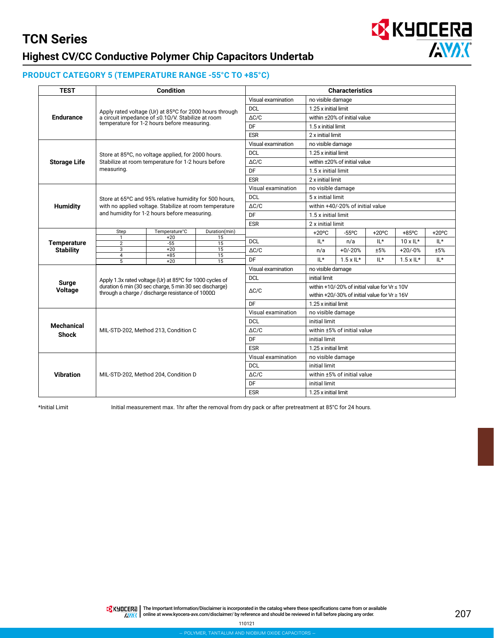

#### **PRODUCT CATEGORY 5 (TEMPERATURE RANGE -55°C TO +85°C)**

| <b>TEST</b>                                                                                                                                                                                                                                                                                                                                                                                                                                                                                                                                                                                                                                                                                                                                                                                                                                                                                                                                                                                                                                                                                                                                                                                                                                                                                                                                                | <b>Condition</b> |  |                              |                                                                                                                                                                                                                                                                                                                                                                                                                                                                                                                                                                                                                                                                                                                                                                                                                                                                           | <b>Characteristics</b> |  |                                                     |                 |  |  |  |
|------------------------------------------------------------------------------------------------------------------------------------------------------------------------------------------------------------------------------------------------------------------------------------------------------------------------------------------------------------------------------------------------------------------------------------------------------------------------------------------------------------------------------------------------------------------------------------------------------------------------------------------------------------------------------------------------------------------------------------------------------------------------------------------------------------------------------------------------------------------------------------------------------------------------------------------------------------------------------------------------------------------------------------------------------------------------------------------------------------------------------------------------------------------------------------------------------------------------------------------------------------------------------------------------------------------------------------------------------------|------------------|--|------------------------------|---------------------------------------------------------------------------------------------------------------------------------------------------------------------------------------------------------------------------------------------------------------------------------------------------------------------------------------------------------------------------------------------------------------------------------------------------------------------------------------------------------------------------------------------------------------------------------------------------------------------------------------------------------------------------------------------------------------------------------------------------------------------------------------------------------------------------------------------------------------------------|------------------------|--|-----------------------------------------------------|-----------------|--|--|--|
|                                                                                                                                                                                                                                                                                                                                                                                                                                                                                                                                                                                                                                                                                                                                                                                                                                                                                                                                                                                                                                                                                                                                                                                                                                                                                                                                                            |                  |  | Visual examination           |                                                                                                                                                                                                                                                                                                                                                                                                                                                                                                                                                                                                                                                                                                                                                                                                                                                                           |                        |  |                                                     |                 |  |  |  |
|                                                                                                                                                                                                                                                                                                                                                                                                                                                                                                                                                                                                                                                                                                                                                                                                                                                                                                                                                                                                                                                                                                                                                                                                                                                                                                                                                            |                  |  | <b>DCL</b>                   | 1.25 x initial limit                                                                                                                                                                                                                                                                                                                                                                                                                                                                                                                                                                                                                                                                                                                                                                                                                                                      |                        |  |                                                     |                 |  |  |  |
| Apply rated voltage (Ur) at 85°C for 2000 hours through<br>a circuit impedance of $\leq 0.1 \Omega/V$ . Stabilize at room<br><b>Endurance</b><br>temperature for 1-2 hours before measuring.<br>DF<br><b>ESR</b><br><b>DCL</b><br>Store at 85°C, no voltage applied, for 2000 hours.<br><b>Storage Life</b><br>Stabilize at room temperature for 1-2 hours before<br>measuring.<br>DF<br><b>ESR</b><br><b>DCL</b><br>Store at 65°C and 95% relative humidity for 500 hours.<br><b>Humidity</b><br>with no applied voltage. Stabilize at room temperature<br>and humidity for 1-2 hours before measuring.<br>DF<br><b>ESR</b><br>Temperature°C<br>Step<br>Duration(min)<br>$+20$<br>$\mathbf{1}$<br>15<br><b>DCL</b><br>$-55$<br><b>Temperature</b><br>$\overline{15}$<br>$\overline{2}$<br>$\overline{\overline{3}}$<br>$\overline{15}$<br>$+20$<br><b>Stability</b><br>$+85$<br>15<br>4<br>DF<br>5<br>$+20$<br>15<br><b>DCL</b><br>Apply 1.3x rated voltage (Ur) at 85°C for 1000 cycles of<br>Surge<br>duration 6 min (30 sec charge, 5 min 30 sec discharge)<br><b>Voltage</b><br>through a charge / discharge resistance of 1000Ω<br>DF<br><b>DCL</b><br><b>Mechanical</b><br>$\Delta C/C$<br>MIL-STD-202, Method 213, Condition C<br><b>Shock</b><br>DF<br><b>ESR</b><br><b>DCL</b><br><b>Vibration</b><br>MIL-STD-202, Method 204, Condition D<br>DF | $\triangle$ C/C  |  | within ±20% of initial value |                                                                                                                                                                                                                                                                                                                                                                                                                                                                                                                                                                                                                                                                                                                                                                                                                                                                           |                        |  |                                                     |                 |  |  |  |
|                                                                                                                                                                                                                                                                                                                                                                                                                                                                                                                                                                                                                                                                                                                                                                                                                                                                                                                                                                                                                                                                                                                                                                                                                                                                                                                                                            |                  |  |                              |                                                                                                                                                                                                                                                                                                                                                                                                                                                                                                                                                                                                                                                                                                                                                                                                                                                                           |                        |  |                                                     |                 |  |  |  |
|                                                                                                                                                                                                                                                                                                                                                                                                                                                                                                                                                                                                                                                                                                                                                                                                                                                                                                                                                                                                                                                                                                                                                                                                                                                                                                                                                            |                  |  |                              |                                                                                                                                                                                                                                                                                                                                                                                                                                                                                                                                                                                                                                                                                                                                                                                                                                                                           |                        |  |                                                     |                 |  |  |  |
|                                                                                                                                                                                                                                                                                                                                                                                                                                                                                                                                                                                                                                                                                                                                                                                                                                                                                                                                                                                                                                                                                                                                                                                                                                                                                                                                                            |                  |  | Visual examination           | no visible damage<br>1.5 x initial limit<br>2 x initial limit<br>no visible damage<br>1.25 x initial limit<br>within ±20% of initial value<br>1.5 x initial limit<br>2 x initial limit<br>no visible damage<br>5 x initial limit<br>within +40/-20% of initial value<br>1.5 x initial limit<br>2 x initial limit<br>$+20^{\circ}$ C<br>$-55^{\circ}$ C<br>$+20^{\circ}$ C<br>$+85^{\circ}$ C<br>$IL*$<br>IL*<br>$10 \times 11$ *<br>n/a<br>$+0/-20%$<br>±5%<br>n/a<br>$IL*$<br>$1.5 \times 1$ L*<br>$IL*$<br>no visible damage<br>initial limit<br>within $+10/-20\%$ of initial value for Vr $\leq 10$ V<br>within +20/-30% of initial value for $Vr \ge 16V$<br>1.25 x initial limit<br>no visible damage<br>initial limit<br>within ±5% of initial value<br>initial limit<br>1.25 x initial limit<br>no visible damage<br>initial limit<br>within ±5% of initial value |                        |  |                                                     |                 |  |  |  |
|                                                                                                                                                                                                                                                                                                                                                                                                                                                                                                                                                                                                                                                                                                                                                                                                                                                                                                                                                                                                                                                                                                                                                                                                                                                                                                                                                            |                  |  |                              |                                                                                                                                                                                                                                                                                                                                                                                                                                                                                                                                                                                                                                                                                                                                                                                                                                                                           |                        |  |                                                     |                 |  |  |  |
|                                                                                                                                                                                                                                                                                                                                                                                                                                                                                                                                                                                                                                                                                                                                                                                                                                                                                                                                                                                                                                                                                                                                                                                                                                                                                                                                                            |                  |  | $\triangle$ C/C              |                                                                                                                                                                                                                                                                                                                                                                                                                                                                                                                                                                                                                                                                                                                                                                                                                                                                           |                        |  |                                                     |                 |  |  |  |
|                                                                                                                                                                                                                                                                                                                                                                                                                                                                                                                                                                                                                                                                                                                                                                                                                                                                                                                                                                                                                                                                                                                                                                                                                                                                                                                                                            |                  |  |                              |                                                                                                                                                                                                                                                                                                                                                                                                                                                                                                                                                                                                                                                                                                                                                                                                                                                                           |                        |  | IL*<br>$+20/-0%$<br>±5%<br>IL*<br>$1.5 \times 1$ L* |                 |  |  |  |
|                                                                                                                                                                                                                                                                                                                                                                                                                                                                                                                                                                                                                                                                                                                                                                                                                                                                                                                                                                                                                                                                                                                                                                                                                                                                                                                                                            |                  |  |                              |                                                                                                                                                                                                                                                                                                                                                                                                                                                                                                                                                                                                                                                                                                                                                                                                                                                                           |                        |  |                                                     |                 |  |  |  |
|                                                                                                                                                                                                                                                                                                                                                                                                                                                                                                                                                                                                                                                                                                                                                                                                                                                                                                                                                                                                                                                                                                                                                                                                                                                                                                                                                            |                  |  | Visual examination           | initial limit<br>1.25 x initial limit                                                                                                                                                                                                                                                                                                                                                                                                                                                                                                                                                                                                                                                                                                                                                                                                                                     |                        |  |                                                     |                 |  |  |  |
|                                                                                                                                                                                                                                                                                                                                                                                                                                                                                                                                                                                                                                                                                                                                                                                                                                                                                                                                                                                                                                                                                                                                                                                                                                                                                                                                                            |                  |  |                              |                                                                                                                                                                                                                                                                                                                                                                                                                                                                                                                                                                                                                                                                                                                                                                                                                                                                           |                        |  |                                                     |                 |  |  |  |
|                                                                                                                                                                                                                                                                                                                                                                                                                                                                                                                                                                                                                                                                                                                                                                                                                                                                                                                                                                                                                                                                                                                                                                                                                                                                                                                                                            |                  |  | $\Delta C/C$                 |                                                                                                                                                                                                                                                                                                                                                                                                                                                                                                                                                                                                                                                                                                                                                                                                                                                                           |                        |  |                                                     |                 |  |  |  |
|                                                                                                                                                                                                                                                                                                                                                                                                                                                                                                                                                                                                                                                                                                                                                                                                                                                                                                                                                                                                                                                                                                                                                                                                                                                                                                                                                            |                  |  |                              |                                                                                                                                                                                                                                                                                                                                                                                                                                                                                                                                                                                                                                                                                                                                                                                                                                                                           |                        |  |                                                     |                 |  |  |  |
|                                                                                                                                                                                                                                                                                                                                                                                                                                                                                                                                                                                                                                                                                                                                                                                                                                                                                                                                                                                                                                                                                                                                                                                                                                                                                                                                                            |                  |  |                              |                                                                                                                                                                                                                                                                                                                                                                                                                                                                                                                                                                                                                                                                                                                                                                                                                                                                           |                        |  |                                                     |                 |  |  |  |
|                                                                                                                                                                                                                                                                                                                                                                                                                                                                                                                                                                                                                                                                                                                                                                                                                                                                                                                                                                                                                                                                                                                                                                                                                                                                                                                                                            |                  |  |                              |                                                                                                                                                                                                                                                                                                                                                                                                                                                                                                                                                                                                                                                                                                                                                                                                                                                                           |                        |  |                                                     | $+20^{\circ}$ C |  |  |  |
|                                                                                                                                                                                                                                                                                                                                                                                                                                                                                                                                                                                                                                                                                                                                                                                                                                                                                                                                                                                                                                                                                                                                                                                                                                                                                                                                                            |                  |  |                              |                                                                                                                                                                                                                                                                                                                                                                                                                                                                                                                                                                                                                                                                                                                                                                                                                                                                           |                        |  |                                                     |                 |  |  |  |
|                                                                                                                                                                                                                                                                                                                                                                                                                                                                                                                                                                                                                                                                                                                                                                                                                                                                                                                                                                                                                                                                                                                                                                                                                                                                                                                                                            |                  |  | $\triangle$ C/C              |                                                                                                                                                                                                                                                                                                                                                                                                                                                                                                                                                                                                                                                                                                                                                                                                                                                                           |                        |  |                                                     |                 |  |  |  |
|                                                                                                                                                                                                                                                                                                                                                                                                                                                                                                                                                                                                                                                                                                                                                                                                                                                                                                                                                                                                                                                                                                                                                                                                                                                                                                                                                            |                  |  |                              |                                                                                                                                                                                                                                                                                                                                                                                                                                                                                                                                                                                                                                                                                                                                                                                                                                                                           |                        |  |                                                     |                 |  |  |  |
|                                                                                                                                                                                                                                                                                                                                                                                                                                                                                                                                                                                                                                                                                                                                                                                                                                                                                                                                                                                                                                                                                                                                                                                                                                                                                                                                                            |                  |  | Visual examination           |                                                                                                                                                                                                                                                                                                                                                                                                                                                                                                                                                                                                                                                                                                                                                                                                                                                                           |                        |  |                                                     |                 |  |  |  |
|                                                                                                                                                                                                                                                                                                                                                                                                                                                                                                                                                                                                                                                                                                                                                                                                                                                                                                                                                                                                                                                                                                                                                                                                                                                                                                                                                            |                  |  |                              |                                                                                                                                                                                                                                                                                                                                                                                                                                                                                                                                                                                                                                                                                                                                                                                                                                                                           |                        |  |                                                     |                 |  |  |  |
|                                                                                                                                                                                                                                                                                                                                                                                                                                                                                                                                                                                                                                                                                                                                                                                                                                                                                                                                                                                                                                                                                                                                                                                                                                                                                                                                                            |                  |  | $\triangle$ C/C              |                                                                                                                                                                                                                                                                                                                                                                                                                                                                                                                                                                                                                                                                                                                                                                                                                                                                           |                        |  |                                                     |                 |  |  |  |
|                                                                                                                                                                                                                                                                                                                                                                                                                                                                                                                                                                                                                                                                                                                                                                                                                                                                                                                                                                                                                                                                                                                                                                                                                                                                                                                                                            |                  |  |                              |                                                                                                                                                                                                                                                                                                                                                                                                                                                                                                                                                                                                                                                                                                                                                                                                                                                                           |                        |  |                                                     |                 |  |  |  |
|                                                                                                                                                                                                                                                                                                                                                                                                                                                                                                                                                                                                                                                                                                                                                                                                                                                                                                                                                                                                                                                                                                                                                                                                                                                                                                                                                            |                  |  |                              |                                                                                                                                                                                                                                                                                                                                                                                                                                                                                                                                                                                                                                                                                                                                                                                                                                                                           |                        |  |                                                     |                 |  |  |  |
|                                                                                                                                                                                                                                                                                                                                                                                                                                                                                                                                                                                                                                                                                                                                                                                                                                                                                                                                                                                                                                                                                                                                                                                                                                                                                                                                                            |                  |  | Visual examination           |                                                                                                                                                                                                                                                                                                                                                                                                                                                                                                                                                                                                                                                                                                                                                                                                                                                                           |                        |  |                                                     |                 |  |  |  |
|                                                                                                                                                                                                                                                                                                                                                                                                                                                                                                                                                                                                                                                                                                                                                                                                                                                                                                                                                                                                                                                                                                                                                                                                                                                                                                                                                            |                  |  |                              |                                                                                                                                                                                                                                                                                                                                                                                                                                                                                                                                                                                                                                                                                                                                                                                                                                                                           |                        |  |                                                     |                 |  |  |  |
|                                                                                                                                                                                                                                                                                                                                                                                                                                                                                                                                                                                                                                                                                                                                                                                                                                                                                                                                                                                                                                                                                                                                                                                                                                                                                                                                                            |                  |  |                              |                                                                                                                                                                                                                                                                                                                                                                                                                                                                                                                                                                                                                                                                                                                                                                                                                                                                           |                        |  |                                                     |                 |  |  |  |
|                                                                                                                                                                                                                                                                                                                                                                                                                                                                                                                                                                                                                                                                                                                                                                                                                                                                                                                                                                                                                                                                                                                                                                                                                                                                                                                                                            |                  |  |                              |                                                                                                                                                                                                                                                                                                                                                                                                                                                                                                                                                                                                                                                                                                                                                                                                                                                                           |                        |  |                                                     |                 |  |  |  |
|                                                                                                                                                                                                                                                                                                                                                                                                                                                                                                                                                                                                                                                                                                                                                                                                                                                                                                                                                                                                                                                                                                                                                                                                                                                                                                                                                            |                  |  |                              |                                                                                                                                                                                                                                                                                                                                                                                                                                                                                                                                                                                                                                                                                                                                                                                                                                                                           |                        |  |                                                     |                 |  |  |  |
|                                                                                                                                                                                                                                                                                                                                                                                                                                                                                                                                                                                                                                                                                                                                                                                                                                                                                                                                                                                                                                                                                                                                                                                                                                                                                                                                                            |                  |  | Visual examination           |                                                                                                                                                                                                                                                                                                                                                                                                                                                                                                                                                                                                                                                                                                                                                                                                                                                                           |                        |  |                                                     |                 |  |  |  |
|                                                                                                                                                                                                                                                                                                                                                                                                                                                                                                                                                                                                                                                                                                                                                                                                                                                                                                                                                                                                                                                                                                                                                                                                                                                                                                                                                            |                  |  |                              |                                                                                                                                                                                                                                                                                                                                                                                                                                                                                                                                                                                                                                                                                                                                                                                                                                                                           |                        |  |                                                     |                 |  |  |  |
|                                                                                                                                                                                                                                                                                                                                                                                                                                                                                                                                                                                                                                                                                                                                                                                                                                                                                                                                                                                                                                                                                                                                                                                                                                                                                                                                                            |                  |  | $\Delta C/C$                 |                                                                                                                                                                                                                                                                                                                                                                                                                                                                                                                                                                                                                                                                                                                                                                                                                                                                           |                        |  |                                                     |                 |  |  |  |
|                                                                                                                                                                                                                                                                                                                                                                                                                                                                                                                                                                                                                                                                                                                                                                                                                                                                                                                                                                                                                                                                                                                                                                                                                                                                                                                                                            |                  |  |                              |                                                                                                                                                                                                                                                                                                                                                                                                                                                                                                                                                                                                                                                                                                                                                                                                                                                                           |                        |  |                                                     |                 |  |  |  |
|                                                                                                                                                                                                                                                                                                                                                                                                                                                                                                                                                                                                                                                                                                                                                                                                                                                                                                                                                                                                                                                                                                                                                                                                                                                                                                                                                            |                  |  | <b>ESR</b>                   |                                                                                                                                                                                                                                                                                                                                                                                                                                                                                                                                                                                                                                                                                                                                                                                                                                                                           |                        |  |                                                     |                 |  |  |  |

\*Initial Limit Initial measurement max. 1hr after the removal from dry pack or after pretreatment at 85°C for 24 hours.

TE KUDEERE | The Important Information/Disclaimer is incorporated in the catalog where these specifications came from or available AVAX online at [www.kyocera-avx.com/disclaimer/](http://www.avx.com/disclaimer/) by reference and should be reviewed in full before placing any order.